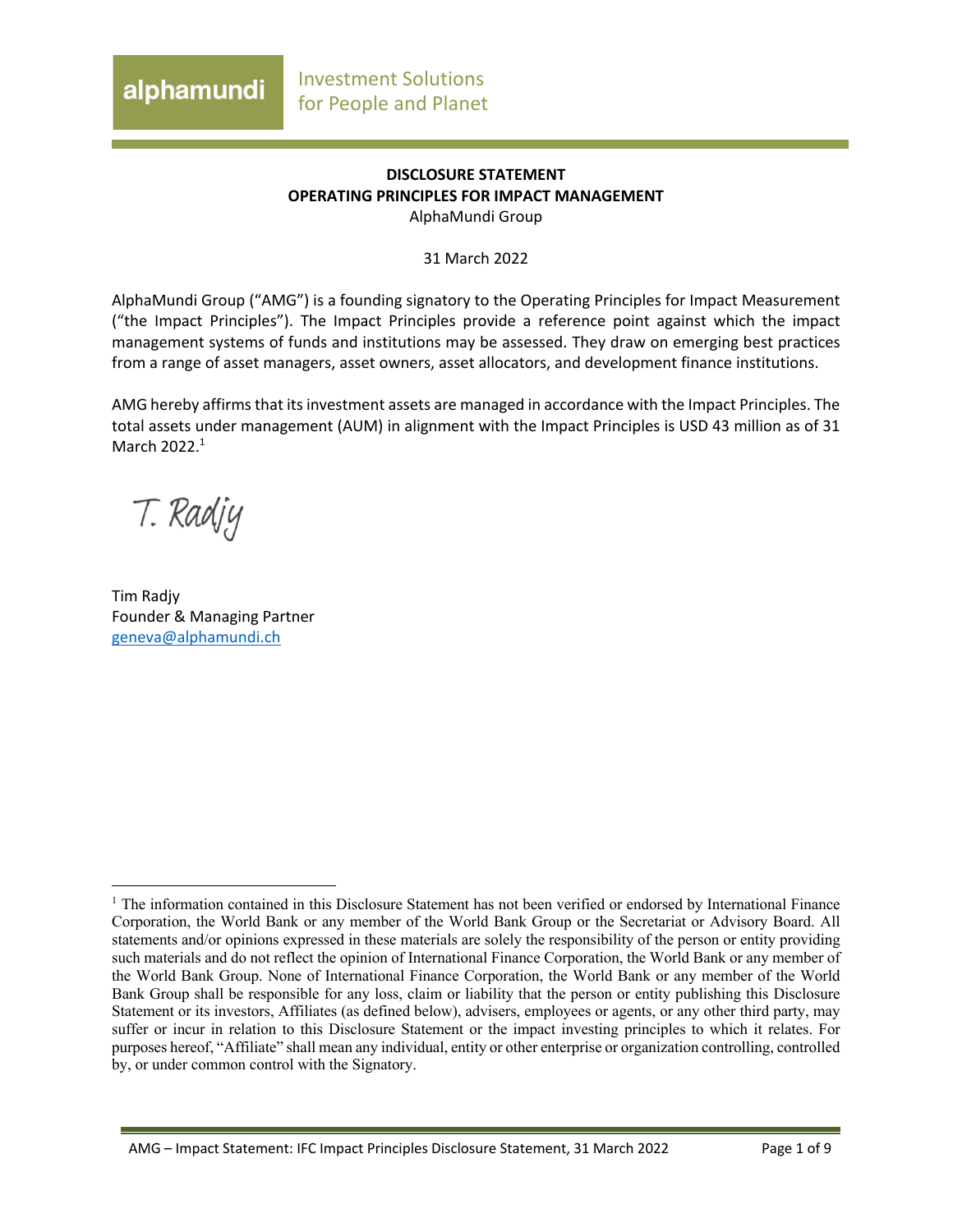### **DISCLOSURE STATEMENT OPERATING PRINCIPLES FOR IMPACT MANAGEMENT** AlphaMundi Group

31 March 2022

AlphaMundi Group ("AMG") is a founding signatory to the Operating Principles for Impact Measurement ("the Impact Principles"). The Impact Principles provide a reference point against which the impact management systems of funds and institutions may be assessed. They draw on emerging best practices from a range of asset managers, asset owners, asset allocators, and development finance institutions.

AMG hereby affirms that its investment assets are managed in accordance with the Impact Principles. The total assets under management (AUM) in alignment with the Impact Principles is USD 43 million as of 31 March 2022. 1

T. Radjy

Tim Radjy Founder & Managing Partner geneva@alphamundi.ch

AMG – Impact Statement: IFC Impact Principles Disclosure Statement, 31 March 2022 Page 1 of 9

<sup>&</sup>lt;sup>1</sup> The information contained in this Disclosure Statement has not been verified or endorsed by International Finance Corporation, the World Bank or any member of the World Bank Group or the Secretariat or Advisory Board. All statements and/or opinions expressed in these materials are solely the responsibility of the person or entity providing such materials and do not reflect the opinion of International Finance Corporation, the World Bank or any member of the World Bank Group. None of International Finance Corporation, the World Bank or any member of the World Bank Group shall be responsible for any loss, claim or liability that the person or entity publishing this Disclosure Statement or its investors, Affiliates (as defined below), advisers, employees or agents, or any other third party, may suffer or incur in relation to this Disclosure Statement or the impact investing principles to which it relates. For purposes hereof, "Affiliate" shall mean any individual, entity or other enterprise or organization controlling, controlled by, or under common control with the Signatory.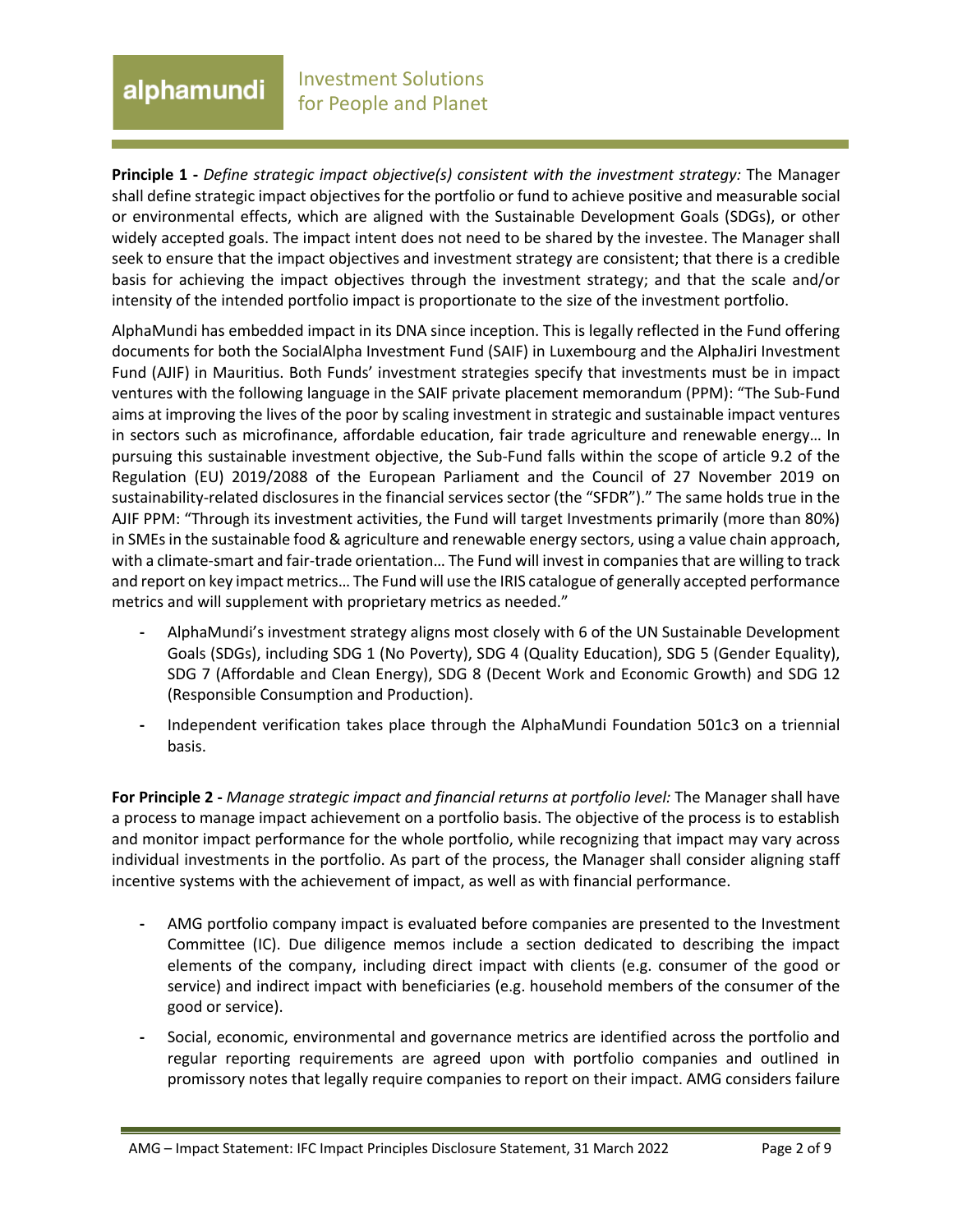# alphamundi

**Principle 1 -** *Define strategic impact objective(s) consistent with the investment strategy:* The Manager shall define strategic impact objectives for the portfolio or fund to achieve positive and measurable social or environmental effects, which are aligned with the Sustainable Development Goals (SDGs), or other widely accepted goals. The impact intent does not need to be shared by the investee. The Manager shall seek to ensure that the impact objectives and investment strategy are consistent; that there is a credible basis for achieving the impact objectives through the investment strategy; and that the scale and/or intensity of the intended portfolio impact is proportionate to the size of the investment portfolio.

AlphaMundi has embedded impact in its DNA since inception. This is legally reflected in the Fund offering documents for both the SocialAlpha Investment Fund (SAIF) in Luxembourg and the AlphaJiri Investment Fund (AJIF) in Mauritius. Both Funds' investment strategies specify that investments must be in impact ventures with the following language in the SAIF private placement memorandum (PPM): "The Sub-Fund aims at improving the lives of the poor by scaling investment in strategic and sustainable impact ventures in sectors such as microfinance, affordable education, fair trade agriculture and renewable energy… In pursuing this sustainable investment objective, the Sub-Fund falls within the scope of article 9.2 of the Regulation (EU) 2019/2088 of the European Parliament and the Council of 27 November 2019 on sustainability-related disclosures in the financial services sector (the "SFDR")." The same holds true in the AJIF PPM: "Through its investment activities, the Fund will target Investments primarily (more than 80%) in SMEs in the sustainable food & agriculture and renewable energy sectors, using a value chain approach, with a climate-smart and fair-trade orientation… The Fund will invest in companies that are willing to track and report on key impact metrics… The Fund will use the IRIS catalogue of generally accepted performance metrics and will supplement with proprietary metrics as needed."

- **-** AlphaMundi's investment strategy aligns most closely with 6 of the UN Sustainable Development Goals (SDGs), including SDG 1 (No Poverty), SDG 4 (Quality Education), SDG 5 (Gender Equality), SDG 7 (Affordable and Clean Energy), SDG 8 (Decent Work and Economic Growth) and SDG 12 (Responsible Consumption and Production).
- **-** Independent verification takes place through the AlphaMundi Foundation 501c3 on a triennial basis.

**For Principle 2 -** *Manage strategic impact and financial returns at portfolio level:* The Manager shall have a process to manage impact achievement on a portfolio basis. The objective of the process is to establish and monitor impact performance for the whole portfolio, while recognizing that impact may vary across individual investments in the portfolio. As part of the process, the Manager shall consider aligning staff incentive systems with the achievement of impact, as well as with financial performance.

- **-** AMG portfolio company impact is evaluated before companies are presented to the Investment Committee (IC). Due diligence memos include a section dedicated to describing the impact elements of the company, including direct impact with clients (e.g. consumer of the good or service) and indirect impact with beneficiaries (e.g. household members of the consumer of the good or service).
- **-** Social, economic, environmental and governance metrics are identified across the portfolio and regular reporting requirements are agreed upon with portfolio companies and outlined in promissory notes that legally require companies to report on their impact. AMG considers failure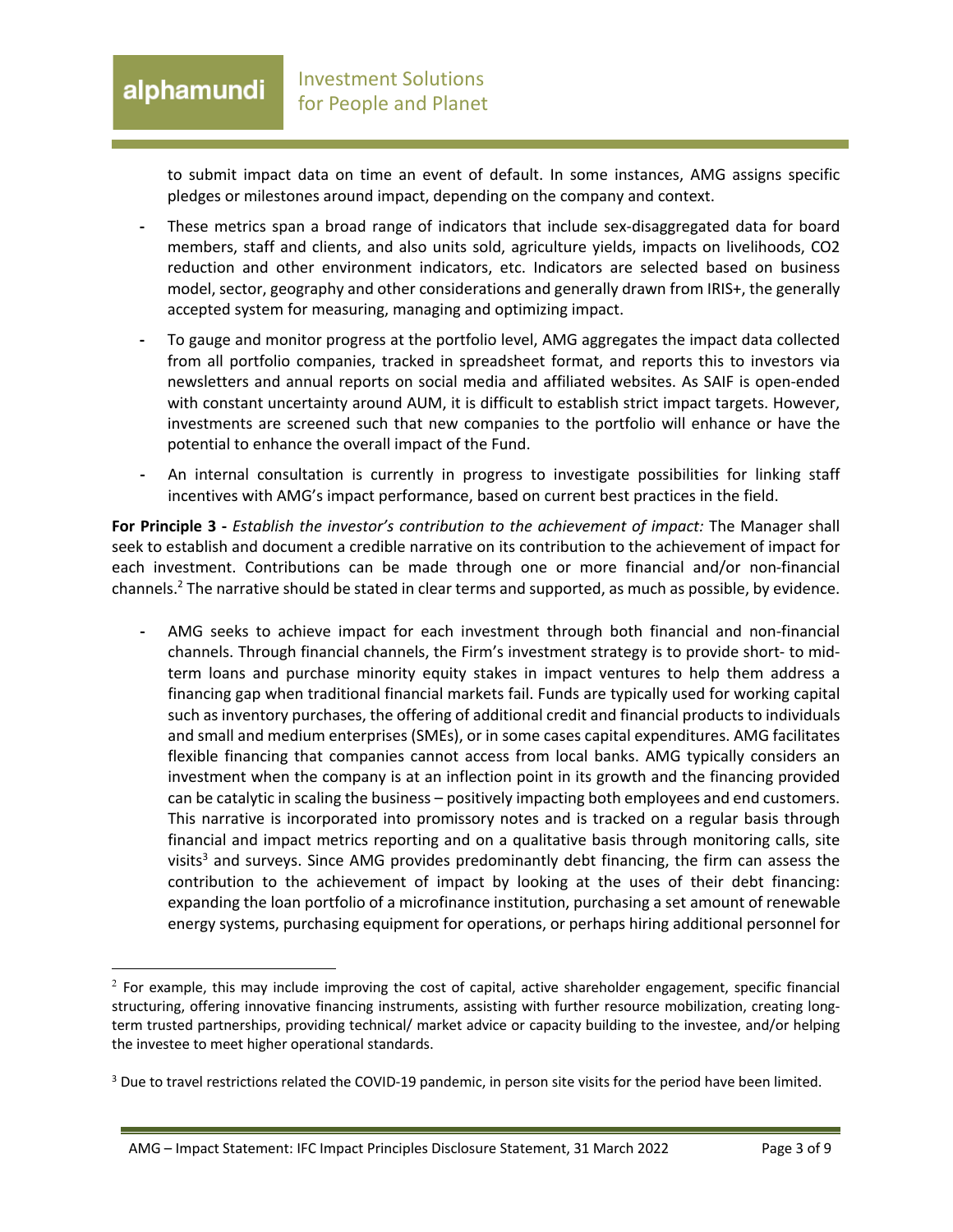to submit impact data on time an event of default. In some instances, AMG assigns specific pledges or milestones around impact, depending on the company and context.

- **-** These metrics span a broad range of indicators that include sex-disaggregated data for board members, staff and clients, and also units sold, agriculture yields, impacts on livelihoods, CO2 reduction and other environment indicators, etc. Indicators are selected based on business model, sector, geography and other considerations and generally drawn from IRIS+, the generally accepted system for measuring, managing and optimizing impact.
- **-** To gauge and monitor progress at the portfolio level, AMG aggregates the impact data collected from all portfolio companies, tracked in spreadsheet format, and reports this to investors via newsletters and annual reports on social media and affiliated websites. As SAIF is open-ended with constant uncertainty around AUM, it is difficult to establish strict impact targets. However, investments are screened such that new companies to the portfolio will enhance or have the potential to enhance the overall impact of the Fund.
- **-** An internal consultation is currently in progress to investigate possibilities for linking staff incentives with AMG's impact performance, based on current best practices in the field.

**For Principle 3 -** *Establish the investor's contribution to the achievement of impact:* The Manager shall seek to establish and document a credible narrative on its contribution to the achievement of impact for each investment. Contributions can be made through one or more financial and/or non-financial channels.<sup>2</sup> The narrative should be stated in clear terms and supported, as much as possible, by evidence.

**-** AMG seeks to achieve impact for each investment through both financial and non-financial channels. Through financial channels, the Firm's investment strategy is to provide short- to midterm loans and purchase minority equity stakes in impact ventures to help them address a financing gap when traditional financial markets fail. Funds are typically used for working capital such as inventory purchases, the offering of additional credit and financial products to individuals and small and medium enterprises (SMEs), or in some cases capital expenditures. AMG facilitates flexible financing that companies cannot access from local banks. AMG typically considers an investment when the company is at an inflection point in its growth and the financing provided can be catalytic in scaling the business – positively impacting both employees and end customers. This narrative is incorporated into promissory notes and is tracked on a regular basis through financial and impact metrics reporting and on a qualitative basis through monitoring calls, site visits<sup>3</sup> and surveys. Since AMG provides predominantly debt financing, the firm can assess the contribution to the achievement of impact by looking at the uses of their debt financing: expanding the loan portfolio of a microfinance institution, purchasing a set amount of renewable energy systems, purchasing equipment for operations, or perhaps hiring additional personnel for

 $<sup>2</sup>$  For example, this may include improving the cost of capital, active shareholder engagement, specific financial</sup> structuring, offering innovative financing instruments, assisting with further resource mobilization, creating longterm trusted partnerships, providing technical/ market advice or capacity building to the investee, and/or helping the investee to meet higher operational standards.

<sup>&</sup>lt;sup>3</sup> Due to travel restrictions related the COVID-19 pandemic, in person site visits for the period have been limited.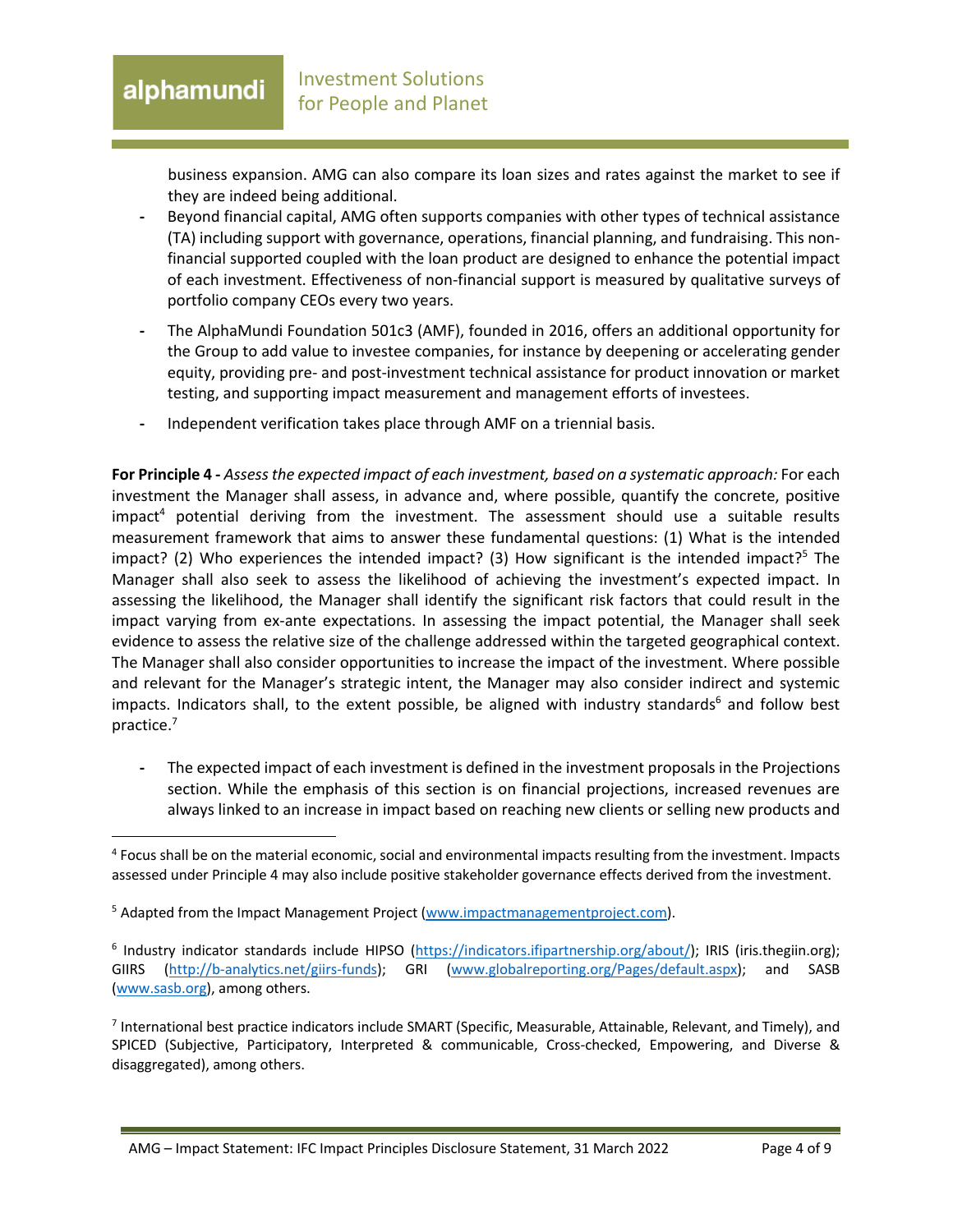business expansion. AMG can also compare its loan sizes and rates against the market to see if they are indeed being additional.

- **-** Beyond financial capital, AMG often supports companies with other types of technical assistance (TA) including support with governance, operations, financial planning, and fundraising. This nonfinancial supported coupled with the loan product are designed to enhance the potential impact of each investment. Effectiveness of non-financial support is measured by qualitative surveys of portfolio company CEOs every two years.
- **-** The AlphaMundi Foundation 501c3 (AMF), founded in 2016, offers an additional opportunity for the Group to add value to investee companies, for instance by deepening or accelerating gender equity, providing pre- and post-investment technical assistance for product innovation or market testing, and supporting impact measurement and management efforts of investees.
- **-** Independent verification takes place through AMF on a triennial basis.

**For Principle 4 -** *Assess the expected impact of each investment, based on a systematic approach:* For each investment the Manager shall assess, in advance and, where possible, quantify the concrete, positive  $impact<sup>4</sup>$  potential deriving from the investment. The assessment should use a suitable results measurement framework that aims to answer these fundamental questions: (1) What is the intended impact? (2) Who experiences the intended impact? (3) How significant is the intended impact?<sup>5</sup> The Manager shall also seek to assess the likelihood of achieving the investment's expected impact. In assessing the likelihood, the Manager shall identify the significant risk factors that could result in the impact varying from ex-ante expectations. In assessing the impact potential, the Manager shall seek evidence to assess the relative size of the challenge addressed within the targeted geographical context. The Manager shall also consider opportunities to increase the impact of the investment. Where possible and relevant for the Manager's strategic intent, the Manager may also consider indirect and systemic impacts. Indicators shall, to the extent possible, be aligned with industry standards<sup>6</sup> and follow best practice.7

**-** The expected impact of each investment is defined in the investment proposals in the Projections section. While the emphasis of this section is on financial projections, increased revenues are always linked to an increase in impact based on reaching new clients or selling new products and

<sup>4</sup> Focus shall be on the material economic, social and environmental impacts resulting from the investment. Impacts assessed under Principle 4 may also include positive stakeholder governance effects derived from the investment.

<sup>&</sup>lt;sup>5</sup> Adapted from the Impact Management Project (www.impactmanagementproject.com).

<sup>&</sup>lt;sup>6</sup> Industry indicator standards include HIPSO (https://indicators.ifipartnership.org/about/); IRIS (iris.thegiin.org); GIIRS (http://b-analytics.net/giirs-funds); GRI (www.globalreporting.org/Pages/default.aspx); and SASB (www.sasb.org), among others.

<sup>7</sup> International best practice indicators include SMART (Specific, Measurable, Attainable, Relevant, and Timely), and SPICED (Subjective, Participatory, Interpreted & communicable, Cross-checked, Empowering, and Diverse & disaggregated), among others.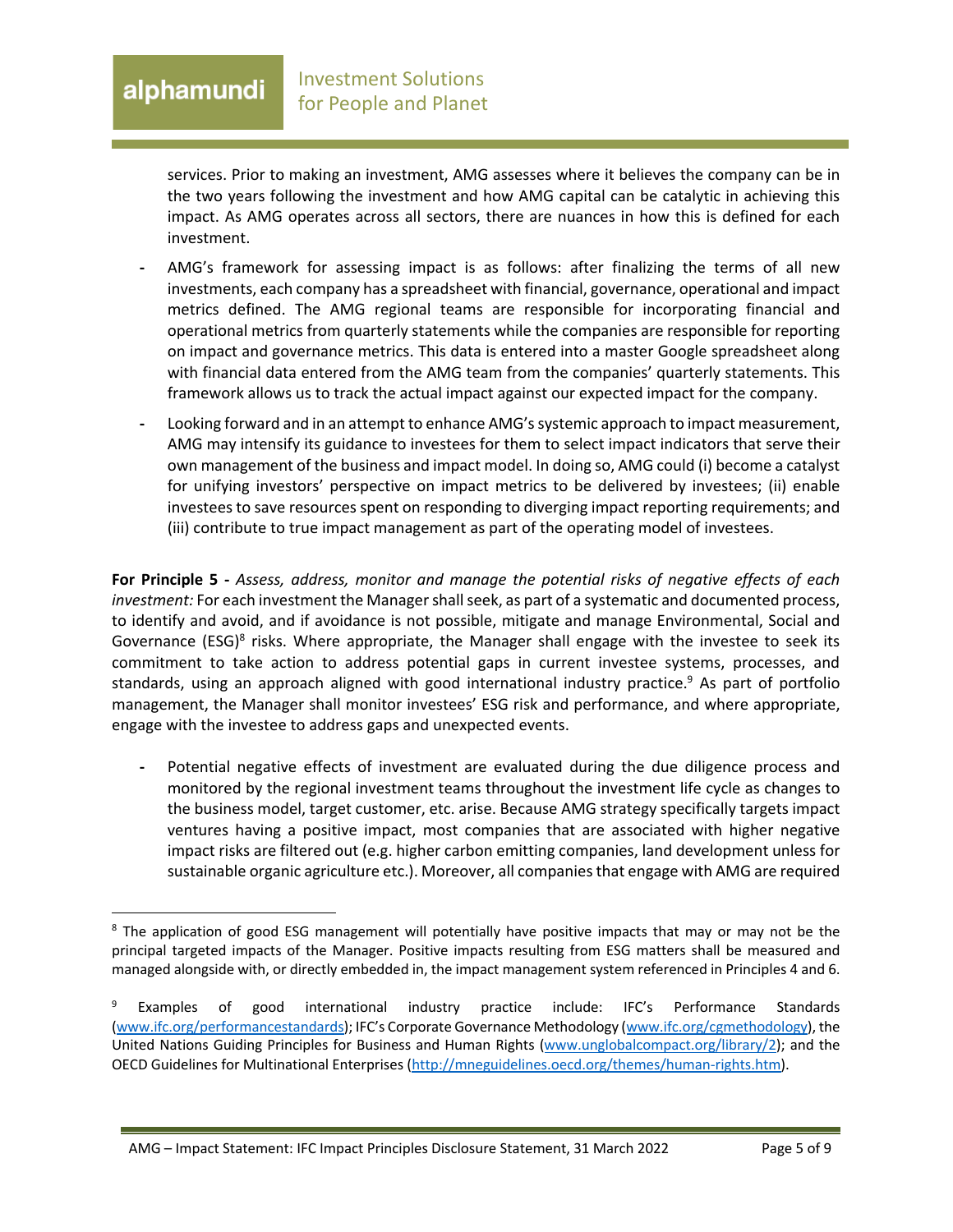#### Investment Solutions alphamundi for People and Planet

services. Prior to making an investment, AMG assesses where it believes the company can be in the two years following the investment and how AMG capital can be catalytic in achieving this impact. As AMG operates across all sectors, there are nuances in how this is defined for each investment.

- **-** AMG's framework for assessing impact is as follows: after finalizing the terms of all new investments, each company has a spreadsheet with financial, governance, operational and impact metrics defined. The AMG regional teams are responsible for incorporating financial and operational metrics from quarterly statements while the companies are responsible for reporting on impact and governance metrics. This data is entered into a master Google spreadsheet along with financial data entered from the AMG team from the companies' quarterly statements. This framework allows us to track the actual impact against our expected impact for the company.
- **-** Looking forward and in an attempt to enhance AMG'ssystemic approach to impact measurement, AMG may intensify its guidance to investees for them to select impact indicators that serve their own management of the business and impact model. In doing so, AMG could (i) become a catalyst for unifying investors' perspective on impact metrics to be delivered by investees; (ii) enable investees to save resources spent on responding to diverging impact reporting requirements; and (iii) contribute to true impact management as part of the operating model of investees.

**For Principle 5 -** *Assess, address, monitor and manage the potential risks of negative effects of each investment:* For each investment the Manager shall seek, as part of a systematic and documented process, to identify and avoid, and if avoidance is not possible, mitigate and manage Environmental, Social and Governance (ESG)<sup>8</sup> risks. Where appropriate, the Manager shall engage with the investee to seek its commitment to take action to address potential gaps in current investee systems, processes, and standards, using an approach aligned with good international industry practice.<sup>9</sup> As part of portfolio management, the Manager shall monitor investees' ESG risk and performance, and where appropriate, engage with the investee to address gaps and unexpected events.

**-** Potential negative effects of investment are evaluated during the due diligence process and monitored by the regional investment teams throughout the investment life cycle as changes to the business model, target customer, etc. arise. Because AMG strategy specifically targets impact ventures having a positive impact, most companies that are associated with higher negative impact risks are filtered out (e.g. higher carbon emitting companies, land development unless for sustainable organic agriculture etc.). Moreover, all companies that engage with AMG are required

<sup>&</sup>lt;sup>8</sup> The application of good ESG management will potentially have positive impacts that may or may not be the principal targeted impacts of the Manager. Positive impacts resulting from ESG matters shall be measured and managed alongside with, or directly embedded in, the impact management system referenced in Principles 4 and 6.

Examples of good international industry practice include: IFC's Performance Standards (www.ifc.org/performancestandards); IFC's Corporate Governance Methodology (www.ifc.org/cgmethodology), the United Nations Guiding Principles for Business and Human Rights (www.unglobalcompact.org/library/2); and the OECD Guidelines for Multinational Enterprises (http://mneguidelines.oecd.org/themes/human-rights.htm).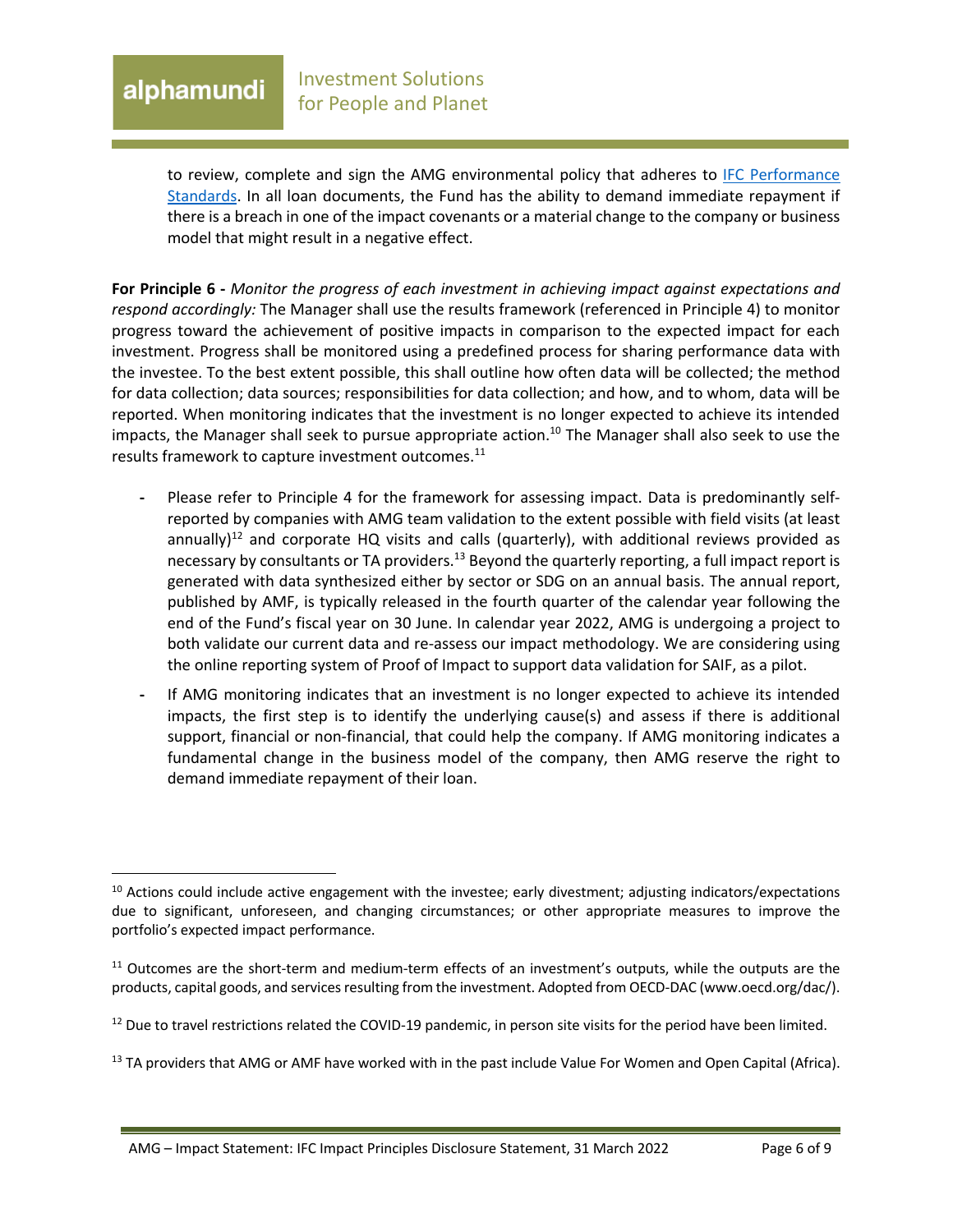## alphamundi

to review, complete and sign the AMG environmental policy that adheres to IFC Performance Standards. In all loan documents, the Fund has the ability to demand immediate repayment if there is a breach in one of the impact covenants or a material change to the company or business model that might result in a negative effect.

**For Principle 6 -** *Monitor the progress of each investment in achieving impact against expectations and respond accordingly:* The Manager shall use the results framework (referenced in Principle 4) to monitor progress toward the achievement of positive impacts in comparison to the expected impact for each investment. Progress shall be monitored using a predefined process for sharing performance data with the investee. To the best extent possible, this shall outline how often data will be collected; the method for data collection; data sources; responsibilities for data collection; and how, and to whom, data will be reported. When monitoring indicates that the investment is no longer expected to achieve its intended impacts, the Manager shall seek to pursue appropriate action.<sup>10</sup> The Manager shall also seek to use the results framework to capture investment outcomes.<sup>11</sup>

- **-** Please refer to Principle 4 for the framework for assessing impact. Data is predominantly selfreported by companies with AMG team validation to the extent possible with field visits (at least annually)<sup>12</sup> and corporate HQ visits and calls (quarterly), with additional reviews provided as necessary by consultants or TA providers.<sup>13</sup> Beyond the quarterly reporting, a full impact report is generated with data synthesized either by sector or SDG on an annual basis. The annual report, published by AMF, is typically released in the fourth quarter of the calendar year following the end of the Fund's fiscal year on 30 June. In calendar year 2022, AMG is undergoing a project to both validate our current data and re-assess our impact methodology. We are considering using the online reporting system of Proof of Impact to support data validation for SAIF, as a pilot.
- **-** If AMG monitoring indicates that an investment is no longer expected to achieve its intended impacts, the first step is to identify the underlying cause(s) and assess if there is additional support, financial or non-financial, that could help the company. If AMG monitoring indicates a fundamental change in the business model of the company, then AMG reserve the right to demand immediate repayment of their loan.

 $10$  Actions could include active engagement with the investee; early divestment; adjusting indicators/expectations due to significant, unforeseen, and changing circumstances; or other appropriate measures to improve the portfolio's expected impact performance.

 $11$  Outcomes are the short-term and medium-term effects of an investment's outputs, while the outputs are the products, capital goods, and services resulting from the investment. Adopted from OECD-DAC (www.oecd.org/dac/).

 $12$  Due to travel restrictions related the COVID-19 pandemic, in person site visits for the period have been limited.

<sup>&</sup>lt;sup>13</sup> TA providers that AMG or AMF have worked with in the past include Value For Women and Open Capital (Africa).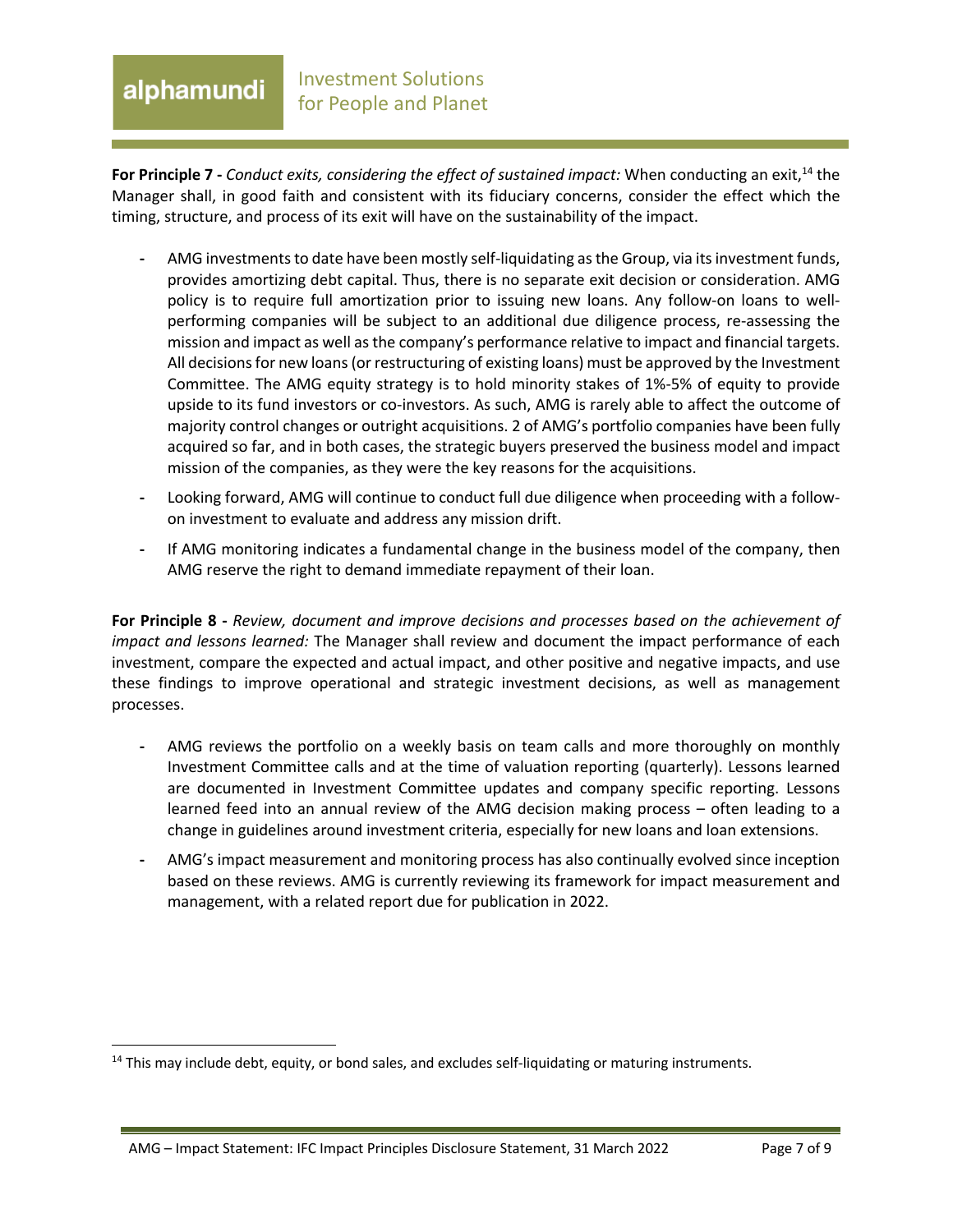### Investment Solutions alphamundi for People and Planet

**For Principle 7** - *Conduct exits, considering the effect of sustained impact:* When conducting an exit,<sup>14</sup> the Manager shall, in good faith and consistent with its fiduciary concerns, consider the effect which the timing, structure, and process of its exit will have on the sustainability of the impact.

- **-** AMG investments to date have been mostly self-liquidating as the Group, via its investment funds, provides amortizing debt capital. Thus, there is no separate exit decision or consideration. AMG policy is to require full amortization prior to issuing new loans. Any follow-on loans to wellperforming companies will be subject to an additional due diligence process, re-assessing the mission and impact as well as the company's performance relative to impact and financial targets. All decisions for new loans (or restructuring of existing loans) must be approved by the Investment Committee. The AMG equity strategy is to hold minority stakes of 1%-5% of equity to provide upside to its fund investors or co-investors. As such, AMG is rarely able to affect the outcome of majority control changes or outright acquisitions. 2 of AMG's portfolio companies have been fully acquired so far, and in both cases, the strategic buyers preserved the business model and impact mission of the companies, as they were the key reasons for the acquisitions.
- **-** Looking forward, AMG will continue to conduct full due diligence when proceeding with a followon investment to evaluate and address any mission drift.
- **-** If AMG monitoring indicates a fundamental change in the business model of the company, then AMG reserve the right to demand immediate repayment of their loan.

**For Principle 8 -** *Review, document and improve decisions and processes based on the achievement of impact and lessons learned:* The Manager shall review and document the impact performance of each investment, compare the expected and actual impact, and other positive and negative impacts, and use these findings to improve operational and strategic investment decisions, as well as management processes.

- **-** AMG reviews the portfolio on a weekly basis on team calls and more thoroughly on monthly Investment Committee calls and at the time of valuation reporting (quarterly). Lessons learned are documented in Investment Committee updates and company specific reporting. Lessons learned feed into an annual review of the AMG decision making process – often leading to a change in guidelines around investment criteria, especially for new loans and loan extensions.
- **-** AMG's impact measurement and monitoring process has also continually evolved since inception based on these reviews. AMG is currently reviewing its framework for impact measurement and management, with a related report due for publication in 2022.

<sup>&</sup>lt;sup>14</sup> This may include debt, equity, or bond sales, and excludes self-liquidating or maturing instruments.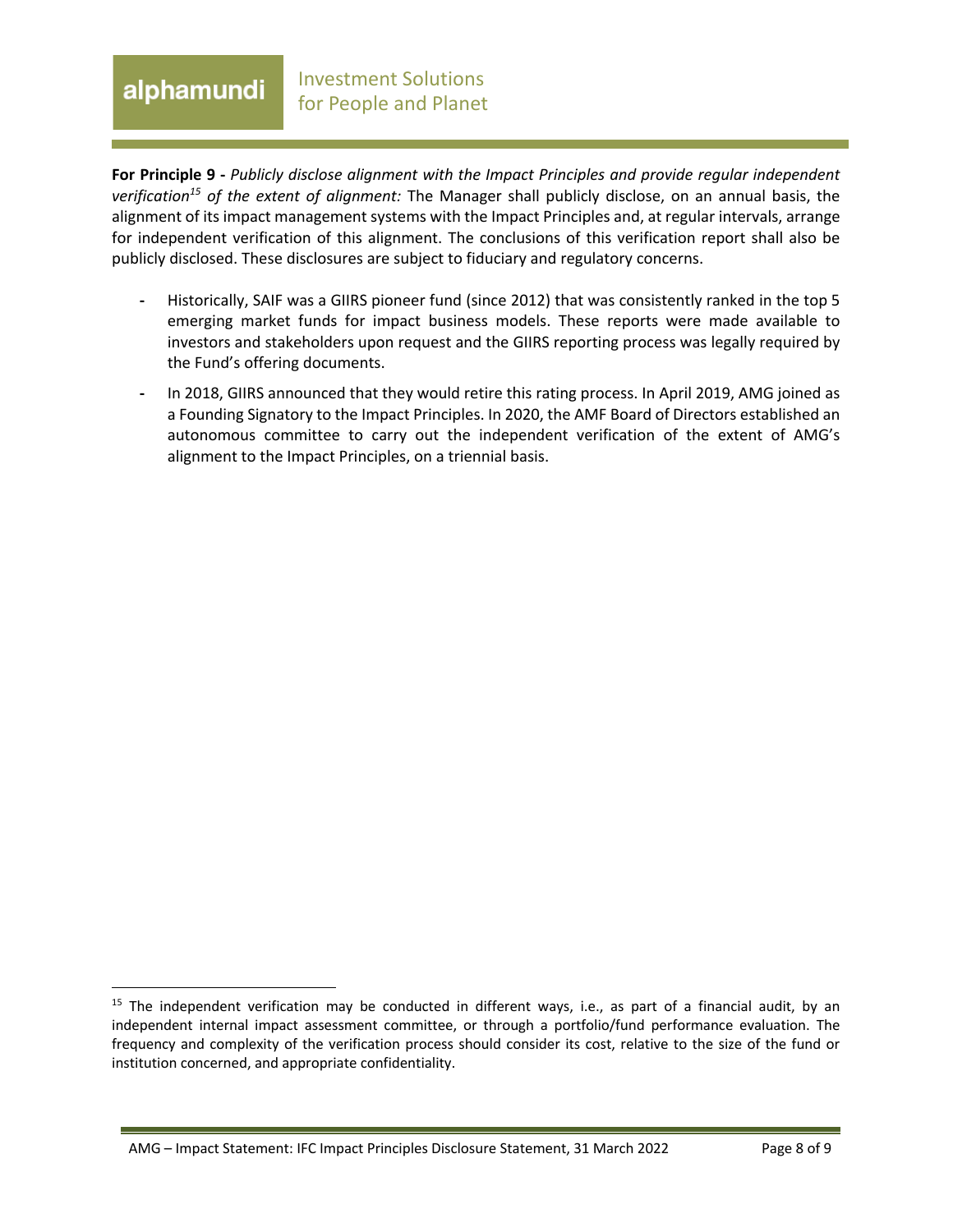### Investment Solutions alphamundi for People and Planet

**For Principle 9 -** *Publicly disclose alignment with the Impact Principles and provide regular independent verification15 of the extent of alignment:* The Manager shall publicly disclose, on an annual basis, the alignment of its impact management systems with the Impact Principles and, at regular intervals, arrange for independent verification of this alignment. The conclusions of this verification report shall also be publicly disclosed. These disclosures are subject to fiduciary and regulatory concerns.

- **-** Historically, SAIF was a GIIRS pioneer fund (since 2012) that was consistently ranked in the top 5 emerging market funds for impact business models. These reports were made available to investors and stakeholders upon request and the GIIRS reporting process was legally required by the Fund's offering documents.
- **-** In 2018, GIIRS announced that they would retire this rating process. In April 2019, AMG joined as a Founding Signatory to the Impact Principles. In 2020, the AMF Board of Directors established an autonomous committee to carry out the independent verification of the extent of AMG's alignment to the Impact Principles, on a triennial basis.

 $15$  The independent verification may be conducted in different ways, i.e., as part of a financial audit, by an independent internal impact assessment committee, or through a portfolio/fund performance evaluation. The frequency and complexity of the verification process should consider its cost, relative to the size of the fund or institution concerned, and appropriate confidentiality.